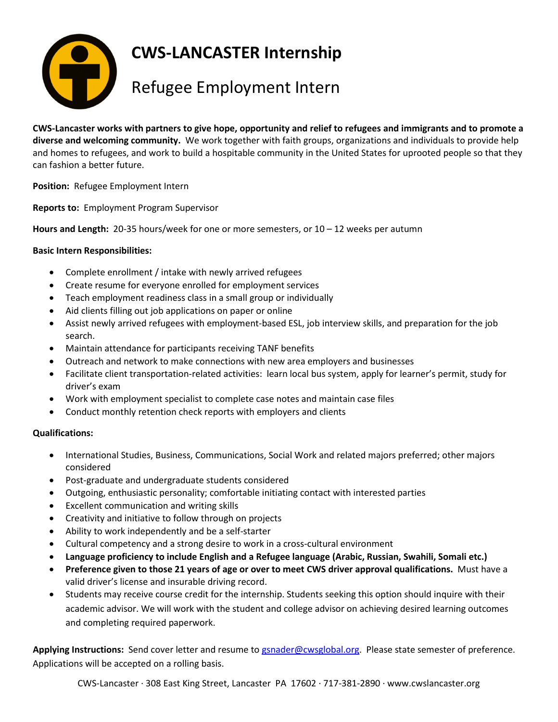

**CWS-LANCASTER Internship**

## Refugee Employment Intern

**CWS-Lancaster works with partners to give hope, opportunity and relief to refugees and immigrants and to promote a diverse and welcoming community.** We work together with faith groups, organizations and individuals to provide help and homes to refugees, and work to build a hospitable community in the United States for uprooted people so that they can fashion a better future.

**Position:** Refugee Employment Intern

**Reports to:** Employment Program Supervisor

**Hours and Length:** 20-35 hours/week for one or more semesters, or 10 – 12 weeks per autumn

## **Basic Intern Responsibilities:**

- Complete enrollment / intake with newly arrived refugees
- Create resume for everyone enrolled for employment services
- Teach employment readiness class in a small group or individually
- Aid clients filling out job applications on paper or online
- Assist newly arrived refugees with employment-based ESL, job interview skills, and preparation for the job search.
- Maintain attendance for participants receiving TANF benefits
- Outreach and network to make connections with new area employers and businesses
- Facilitate client transportation-related activities: learn local bus system, apply for learner's permit, study for driver's exam
- Work with employment specialist to complete case notes and maintain case files
- Conduct monthly retention check reports with employers and clients

## **Qualifications:**

- International Studies, Business, Communications, Social Work and related majors preferred; other majors considered
- Post-graduate and undergraduate students considered
- Outgoing, enthusiastic personality; comfortable initiating contact with interested parties
- Excellent communication and writing skills
- Creativity and initiative to follow through on projects
- Ability to work independently and be a self-starter
- Cultural competency and a strong desire to work in a cross-cultural environment
- **Language proficiency to include English and a Refugee language (Arabic, Russian, Swahili, Somali etc.)**
- **Preference given to those 21 years of age or over to meet CWS driver approval qualifications.** Must have a valid driver's license and insurable driving record.
- Students may receive course credit for the internship. Students seeking this option should inquire with their academic advisor. We will work with the student and college advisor on achieving desired learning outcomes and completing required paperwork.

**Applying Instructions:** Send cover letter and resume to [gsnader@cwsglobal.org.](mailto:gsnader@cwsglobal.org) Please state semester of preference. Applications will be accepted on a rolling basis.